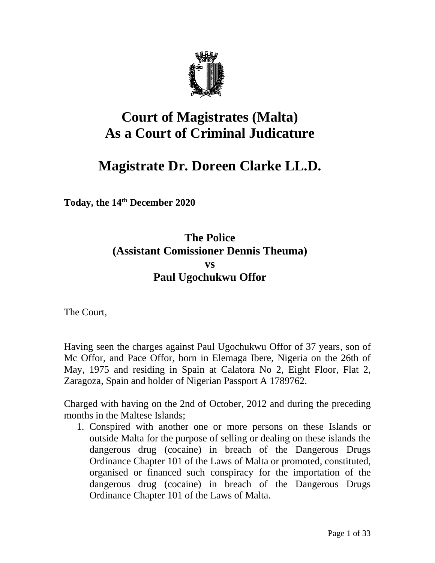

# **Court of Magistrates (Malta) As a Court of Criminal Judicature**

# **Magistrate Dr. Doreen Clarke LL.D.**

**Today, the 14th December 2020**

# **The Police (Assistant Comissioner Dennis Theuma) vs Paul Ugochukwu Offor**

The Court,

Having seen the charges against Paul Ugochukwu Offor of 37 years, son of Mc Offor, and Pace Offor, born in Elemaga Ibere, Nigeria on the 26th of May, 1975 and residing in Spain at Calatora No 2, Eight Floor, Flat 2, Zaragoza, Spain and holder of Nigerian Passport A 1789762.

Charged with having on the 2nd of October, 2012 and during the preceding months in the Maltese Islands;

1. Conspired with another one or more persons on these Islands or outside Malta for the purpose of selling or dealing on these islands the dangerous drug (cocaine) in breach of the Dangerous Drugs Ordinance Chapter 101 of the Laws of Malta or promoted, constituted, organised or financed such conspiracy for the importation of the dangerous drug (cocaine) in breach of the Dangerous Drugs Ordinance Chapter 101 of the Laws of Malta.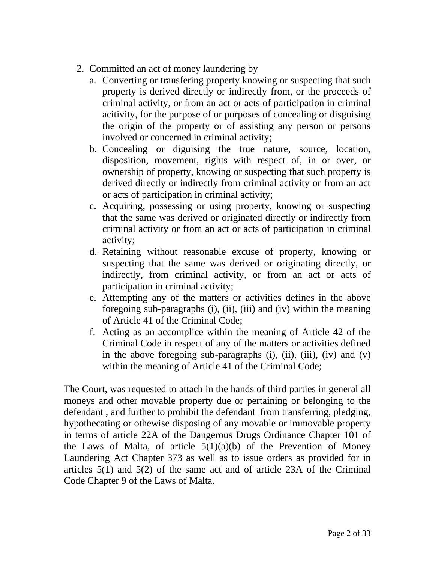- 2. Committed an act of money laundering by
	- a. Converting or transfering property knowing or suspecting that such property is derived directly or indirectly from, or the proceeds of criminal activity, or from an act or acts of participation in criminal acitivity, for the purpose of or purposes of concealing or disguising the origin of the property or of assisting any person or persons involved or concerned in criminal activity;
	- b. Concealing or diguising the true nature, source, location, disposition, movement, rights with respect of, in or over, or ownership of property, knowing or suspecting that such property is derived directly or indirectly from criminal activity or from an act or acts of participation in criminal activity;
	- c. Acquiring, possessing or using property, knowing or suspecting that the same was derived or originated directly or indirectly from criminal activity or from an act or acts of participation in criminal activity;
	- d. Retaining without reasonable excuse of property, knowing or suspecting that the same was derived or originating directly, or indirectly, from criminal activity, or from an act or acts of participation in criminal activity;
	- e. Attempting any of the matters or activities defines in the above foregoing sub-paragraphs (i), (ii), (iii) and (iv) within the meaning of Article 41 of the Criminal Code;
	- f. Acting as an accomplice within the meaning of Article 42 of the Criminal Code in respect of any of the matters or activities defined in the above foregoing sub-paragraphs  $(i)$ ,  $(ii)$ ,  $(iii)$ ,  $(iv)$  and  $(v)$ within the meaning of Article 41 of the Criminal Code;

The Court, was requested to attach in the hands of third parties in general all moneys and other movable property due or pertaining or belonging to the defendant , and further to prohibit the defendant from transferring, pledging, hypothecating or othewise disposing of any movable or immovable property in terms of article 22A of the Dangerous Drugs Ordinance Chapter 101 of the Laws of Malta, of article  $5(1)(a)(b)$  of the Prevention of Money Laundering Act Chapter 373 as well as to issue orders as provided for in articles 5(1) and 5(2) of the same act and of article 23A of the Criminal Code Chapter 9 of the Laws of Malta.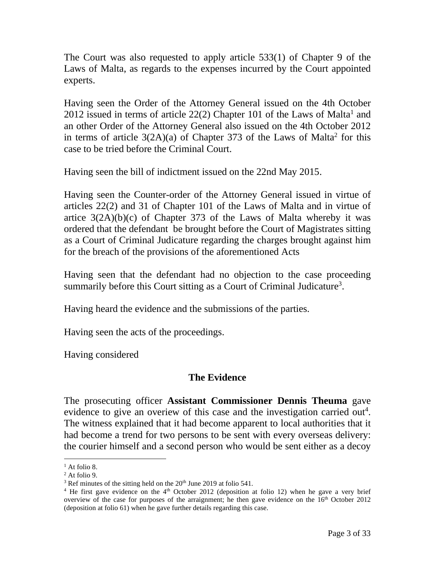The Court was also requested to apply article 533(1) of Chapter 9 of the Laws of Malta, as regards to the expenses incurred by the Court appointed experts.

Having seen the Order of the Attorney General issued on the 4th October 2012 issued in terms of article  $22(2)$  Chapter 101 of the Laws of Malta<sup>1</sup> and an other Order of the Attorney General also issued on the 4th October 2012 in terms of article  $3(2A)(a)$  of Chapter 373 of the Laws of Malta<sup>2</sup> for this case to be tried before the Criminal Court.

Having seen the bill of indictment issued on the 22nd May 2015.

Having seen the Counter-order of the Attorney General issued in virtue of articles 22(2) and 31 of Chapter 101 of the Laws of Malta and in virtue of artice  $3(2A)(b)(c)$  of Chapter 373 of the Laws of Malta whereby it was ordered that the defendant be brought before the Court of Magistrates sitting as a Court of Criminal Judicature regarding the charges brought against him for the breach of the provisions of the aforementioned Acts

Having seen that the defendant had no objection to the case proceeding summarily before this Court sitting as a Court of Criminal Judicature<sup>3</sup>.

Having heard the evidence and the submissions of the parties.

Having seen the acts of the proceedings.

Having considered

#### **The Evidence**

The prosecuting officer **Assistant Commissioner Dennis Theuma** gave evidence to give an overiew of this case and the investigation carried out<sup>4</sup>. The witness explained that it had become apparent to local authorities that it had become a trend for two persons to be sent with every overseas delivery: the courier himself and a second person who would be sent either as a decoy

 $<sup>1</sup>$  At folio 8.</sup>

 $2$  At folio 9.

 $3$  Ref minutes of the sitting held on the  $20<sup>th</sup>$  June 2019 at folio 541.

<sup>&</sup>lt;sup>4</sup> He first gave evidence on the  $4<sup>th</sup>$  October 2012 (deposition at folio 12) when he gave a very brief overview of the case for purposes of the arraignment; he then gave evidence on the  $16<sup>th</sup>$  October 2012 (deposition at folio 61) when he gave further details regarding this case.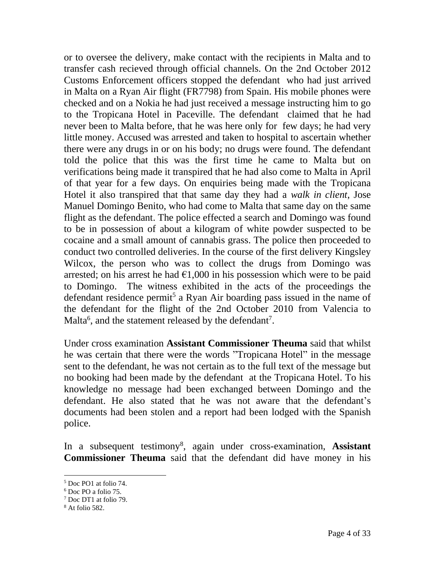or to oversee the delivery, make contact with the recipients in Malta and to transfer cash recieved through official channels. On the 2nd October 2012 Customs Enforcement officers stopped the defendant who had just arrived in Malta on a Ryan Air flight (FR7798) from Spain. His mobile phones were checked and on a Nokia he had just received a message instructing him to go to the Tropicana Hotel in Paceville. The defendant claimed that he had never been to Malta before, that he was here only for few days; he had very little money. Accused was arrested and taken to hospital to ascertain whether there were any drugs in or on his body; no drugs were found. The defendant told the police that this was the first time he came to Malta but on verifications being made it transpired that he had also come to Malta in April of that year for a few days. On enquiries being made with the Tropicana Hotel it also transpired that that same day they had a *walk in client*, Jose Manuel Domingo Benito, who had come to Malta that same day on the same flight as the defendant. The police effected a search and Domingo was found to be in possession of about a kilogram of white powder suspected to be cocaine and a small amount of cannabis grass. The police then proceeded to conduct two controlled deliveries. In the course of the first delivery Kingsley Wilcox, the person who was to collect the drugs from Domingo was arrested; on his arrest he had  $\epsilon$ 1,000 in his possession which were to be paid to Domingo. The witness exhibited in the acts of the proceedings the defendant residence permit<sup>5</sup> a Ryan Air boarding pass issued in the name of the defendant for the flight of the 2nd October 2010 from Valencia to Malta<sup>6</sup>, and the statement released by the defendant<sup>7</sup>.

Under cross examination **Assistant Commissioner Theuma** said that whilst he was certain that there were the words "Tropicana Hotel" in the message sent to the defendant, he was not certain as to the full text of the message but no booking had been made by the defendant at the Tropicana Hotel. To his knowledge no message had been exchanged between Domingo and the defendant. He also stated that he was not aware that the defendant's documents had been stolen and a report had been lodged with the Spanish police.

In a subsequent testimony<sup>8</sup>, again under cross-examination, **Assistant Commissioner Theuma** said that the defendant did have money in his

<sup>5</sup> Doc PO1 at folio 74.

<sup>6</sup> Doc PO a folio 75.

<sup>7</sup> Doc DT1 at folio 79.

<sup>8</sup> At folio 582.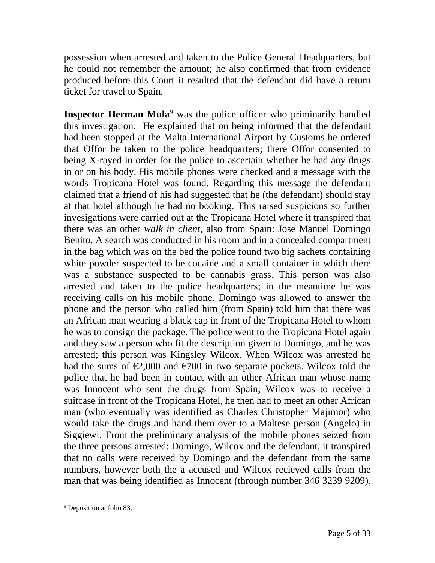possession when arrested and taken to the Police General Headquarters, but he could not remember the amount; he also confirmed that from evidence produced before this Court it resulted that the defendant did have a return ticket for travel to Spain.

**Inspector Herman Mula**<sup>9</sup> was the police officer who priminarily handled this investigation. He explained that on being informed that the defendant had been stopped at the Malta International Airport by Customs he ordered that Offor be taken to the police headquarters; there Offor consented to being X-rayed in order for the police to ascertain whether he had any drugs in or on his body. His mobile phones were checked and a message with the words Tropicana Hotel was found. Regarding this message the defendant claimed that a friend of his had suggested that he (the defendant) should stay at that hotel although he had no booking. This raised suspicions so further invesigations were carried out at the Tropicana Hotel where it transpired that there was an other *walk in client,* also from Spain: Jose Manuel Domingo Benito. A search was conducted in his room and in a concealed compartment in the bag which was on the bed the police found two big sachets containing white powder suspected to be cocaine and a small container in which there was a substance suspected to be cannabis grass. This person was also arrested and taken to the police headquarters; in the meantime he was receiving calls on his mobile phone. Domingo was allowed to answer the phone and the person who called him (from Spain) told him that there was an African man wearing a black cap in front of the Tropicana Hotel to whom he was to consign the package. The police went to the Tropicana Hotel again and they saw a person who fit the description given to Domingo, and he was arrested; this person was Kingsley Wilcox. When Wilcox was arrested he had the sums of  $\epsilon$ 2,000 and  $\epsilon$ 700 in two separate pockets. Wilcox told the police that he had been in contact with an other African man whose name was Innocent who sent the drugs from Spain; Wilcox was to receive a suitcase in front of the Tropicana Hotel, he then had to meet an other African man (who eventually was identified as Charles Christopher Majimor) who would take the drugs and hand them over to a Maltese person (Angelo) in Siggiewi. From the preliminary analysis of the mobile phones seized from the three persons arrested: Domingo, Wilcox and the defendant, it transpired that no calls were received by Domingo and the defendant from the same numbers, however both the a accused and Wilcox recieved calls from the man that was being identified as Innocent (through number 346 3239 9209).

<sup>&</sup>lt;sup>9</sup> Deposition at folio 83.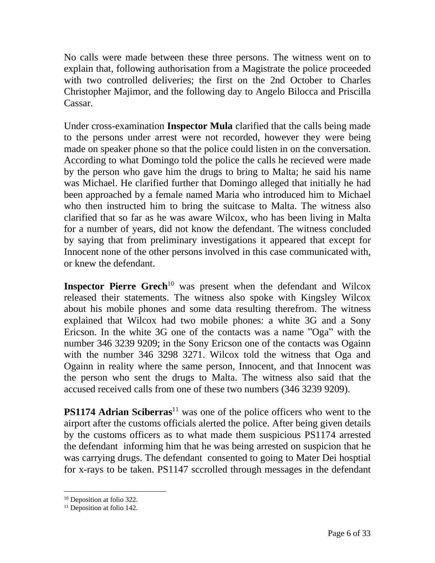No calls were made between these three persons. The witness went on to explain that, following authorisation from a Magistrate the police proceeded with two controlled deliveries; the first on the 2nd October to Charles Christopher Majimor, and the following day to Angelo Bilocca and Priscilla Cassar.

Under cross-examination **Inspector Mula** clarified that the calls being made to the persons under arrest were not recorded, however they were being made on speaker phone so that the police could listen in on the conversation. According to what Domingo told the police the calls he recieved were made by the person who gave him the drugs to bring to Malta; he said his name was Michael. He clarified further that Domingo alleged that initially he had been approached by a female named Maria who introduced him to Michael who then instructed him to bring the suitcase to Malta. The witness also clarified that so far as he was aware Wilcox, who has been living in Malta for a number of years, did not know the defendant. The witness concluded by saying that from preliminary investigations it appeared that except for Innocent none of the other persons involved in this case communicated with, or knew the defendant.

**Inspector Pierre Grech** <sup>10</sup> was present when the defendant and Wilcox released their statements. The witness also spoke with Kingsley Wilcox about his mobile phones and some data resulting therefrom. The witness explained that Wilcox had two mobile phones: a white 3G and a Sony Ericson. In the white 3G one of the contacts was a name "Oga" with the number 346 3239 9209; in the Sony Ericson one of the contacts was Ogainn with the number 346 3298 3271. Wilcox told the witness that Oga and Ogainn in reality where the same person, Innocent, and that Innocent was the person who sent the drugs to Malta. The witness also said that the accused received calls from one of these two numbers (346 3239 9209).

**PS1174 Adrian Sciberras**<sup>11</sup> was one of the police officers who went to the airport after the customs officials alerted the police. After being given details by the customs officers as to what made them suspicious PS1174 arrested the defendant informing him that he was being arrested on suspicion that he was carrying drugs. The defendant consented to going to Mater Dei hosptial for x-rays to be taken. PS1147 sccrolled through messages in the defendant

<sup>&</sup>lt;sup>10</sup> Deposition at folio 322.

<sup>&</sup>lt;sup>11</sup> Deposition at folio 142.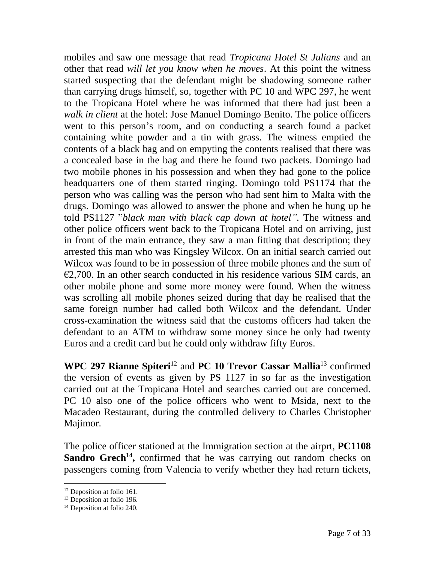mobiles and saw one message that read *Tropicana Hotel St Julians* and an other that read *will let you know when he moves*. At this point the witness started suspecting that the defendant might be shadowing someone rather than carrying drugs himself, so, together with PC 10 and WPC 297, he went to the Tropicana Hotel where he was informed that there had just been a *walk in client* at the hotel: Jose Manuel Domingo Benito. The police officers went to this person's room, and on conducting a search found a packet containing white powder and a tin with grass. The witness emptied the contents of a black bag and on empyting the contents realised that there was a concealed base in the bag and there he found two packets. Domingo had two mobile phones in his possession and when they had gone to the police headquarters one of them started ringing. Domingo told PS1174 that the person who was calling was the person who had sent him to Malta with the drugs. Domingo was allowed to answer the phone and when he hung up he told PS1127 "*black man with black cap down at hotel".* The witness and other police officers went back to the Tropicana Hotel and on arriving, just in front of the main entrance, they saw a man fitting that description; they arrested this man who was Kingsley Wilcox. On an initial search carried out Wilcox was found to be in possession of three mobile phones and the sum of  $\epsilon$ 2,700. In an other search conducted in his residence various SIM cards, an other mobile phone and some more money were found. When the witness was scrolling all mobile phones seized during that day he realised that the same foreign number had called both Wilcox and the defendant. Under cross-examination the witness said that the customs officers had taken the defendant to an ATM to withdraw some money since he only had twenty Euros and a credit card but he could only withdraw fifty Euros.

**WPC 297 Rianne Spiteri**<sup>12</sup> and **PC 10 Trevor Cassar Mallia**<sup>13</sup> confirmed the version of events as given by PS 1127 in so far as the investigation carried out at the Tropicana Hotel and searches carried out are concerned. PC 10 also one of the police officers who went to Msida, next to the Macadeo Restaurant, during the controlled delivery to Charles Christopher Majimor.

The police officer stationed at the Immigration section at the airprt, **PC1108**  Sandro Grech<sup>14</sup>, confirmed that he was carrying out random checks on passengers coming from Valencia to verify whether they had return tickets,

<sup>&</sup>lt;sup>12</sup> Deposition at folio 161.

<sup>&</sup>lt;sup>13</sup> Deposition at folio 196.

<sup>&</sup>lt;sup>14</sup> Deposition at folio 240.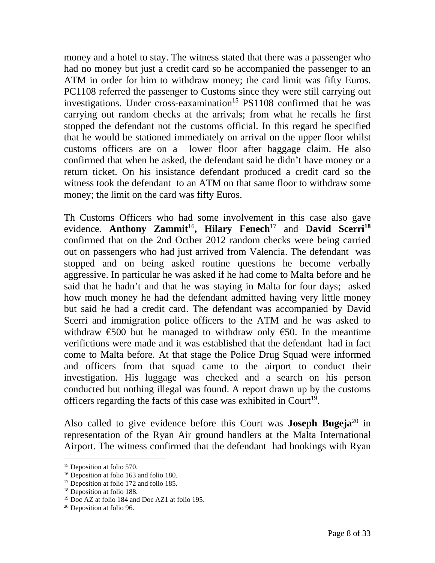money and a hotel to stay. The witness stated that there was a passenger who had no money but just a credit card so he accompanied the passenger to an ATM in order for him to withdraw money; the card limit was fifty Euros. PC1108 referred the passenger to Customs since they were still carrying out investigations. Under cross-eaxamination<sup>15</sup> PS1108 confirmed that he was carrying out random checks at the arrivals; from what he recalls he first stopped the defendant not the customs official. In this regard he specified that he would be stationed immediately on arrival on the upper floor whilst customs officers are on a lower floor after baggage claim. He also confirmed that when he asked, the defendant said he didn't have money or a return ticket. On his insistance defendant produced a credit card so the witness took the defendant to an ATM on that same floor to withdraw some money; the limit on the card was fifty Euros.

Th Customs Officers who had some involvement in this case also gave evidence. **Anthony Zammit**<sup>16</sup>**, Hilary Fenech**<sup>17</sup> and **David Scerri<sup>18</sup>** confirmed that on the 2nd Octber 2012 random checks were being carried out on passengers who had just arrived from Valencia. The defendant was stopped and on being asked routine questions he become verbally aggressive. In particular he was asked if he had come to Malta before and he said that he hadn't and that he was staying in Malta for four days; asked how much money he had the defendant admitted having very little money but said he had a credit card. The defendant was accompanied by David Scerri and immigration police officers to the ATM and he was asked to withdraw  $\epsilon$ 500 but he managed to withdraw only  $\epsilon$ 50. In the meantime verifictions were made and it was established that the defendant had in fact come to Malta before. At that stage the Police Drug Squad were informed and officers from that squad came to the airport to conduct their investigation. His luggage was checked and a search on his person conducted but nothing illegal was found. A report drawn up by the customs officers regarding the facts of this case was exhibited in Court<sup>19</sup>.

Also called to give evidence before this Court was **Joseph Bugeja**<sup>20</sup> in representation of the Ryan Air ground handlers at the Malta International Airport. The witness confirmed that the defendant had bookings with Ryan

<sup>&</sup>lt;sup>15</sup> Deposition at folio 570.

<sup>16</sup> Deposition at folio 163 and folio 180.

<sup>&</sup>lt;sup>17</sup> Deposition at folio 172 and folio 185.

<sup>&</sup>lt;sup>18</sup> Deposition at folio 188.

<sup>19</sup> Doc AZ at folio 184 and Doc AZ1 at folio 195.

<sup>20</sup> Deposition at folio 96.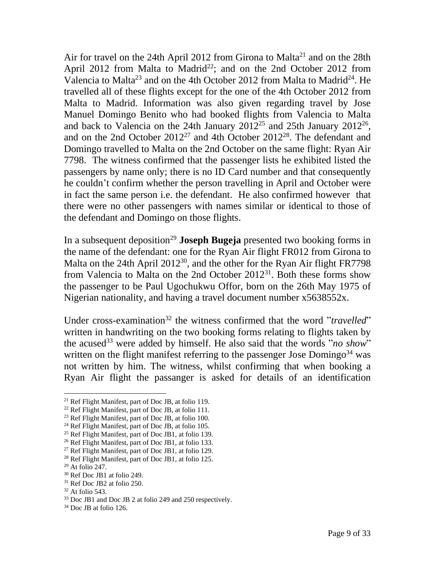Air for travel on the 24th April 2012 from Girona to Malta<sup>21</sup> and on the 28th April 2012 from Malta to Madrid<sup>22</sup>; and on the 2nd October 2012 from Valencia to Malta<sup>23</sup> and on the 4th October 2012 from Malta to Madrid<sup>24</sup>. He travelled all of these flights except for the one of the 4th October 2012 from Malta to Madrid. Information was also given regarding travel by Jose Manuel Domingo Benito who had booked flights from Valencia to Malta and back to Valencia on the 24th January  $2012^{25}$  and 25th January  $2012^{26}$ , and on the 2nd October 2012<sup>27</sup> and 4th October 2012<sup>28</sup>. The defendant and Domingo travelled to Malta on the 2nd October on the same flight: Ryan Air 7798. The witness confirmed that the passenger lists he exhibited listed the passengers by name only; there is no ID Card number and that consequently he couldn't confirm whether the person travelling in April and October were in fact the same person i.e. the defendant. He also confirmed however that there were no other passengers with names similar or identical to those of the defendant and Domingo on those flights.

In a subsequent deposition<sup>29</sup> **Joseph Bugeja** presented two booking forms in the name of the defendant: one for the Ryan Air flight FR012 from Girona to Malta on the 24th April 2012<sup>30</sup>, and the other for the Ryan Air flight FR7798 from Valencia to Malta on the 2nd October  $2012^{31}$ . Both these forms show the passenger to be Paul Ugochukwu Offor, born on the 26th May 1975 of Nigerian nationality, and having a travel document number x5638552x.

Under cross-examination<sup>32</sup> the witness confirmed that the word "*travelled*" written in handwriting on the two booking forms relating to flights taken by the acused<sup>33</sup> were added by himself. He also said that the words "*no show*" written on the flight manifest referring to the passenger Jose Domingo<sup>34</sup> was not written by him. The witness, whilst confirming that when booking a Ryan Air flight the passanger is asked for details of an identification

<sup>21</sup> Ref Flight Manifest, part of Doc JB, at folio 119.

<sup>22</sup> Ref Flight Manifest, part of Doc JB, at folio 111.

<sup>23</sup> Ref Flight Manifest, part of Doc JB, at folio 100.

<sup>24</sup> Ref Flight Manifest, part of Doc JB, at folio 105.

<sup>25</sup> Ref Flight Manifest, part of Doc JB1, at folio 139.

<sup>26</sup> Ref Flight Manifest, part of Doc JB1, at folio 133.

<sup>27</sup> Ref Flight Manifest, part of Doc JB1, at folio 129.

<sup>28</sup> Ref Flight Manifest, part of Doc JB1, at folio 125.

 $29$  At folio 247.

<sup>30</sup> Ref Doc JB1 at folio 249.

<sup>31</sup> Ref Doc JB2 at folio 250.

<sup>32</sup> At folio 543.

<sup>33</sup> Doc JB1 and Doc JB 2 at folio 249 and 250 respectively.

<sup>34</sup> Doc JB at folio 126.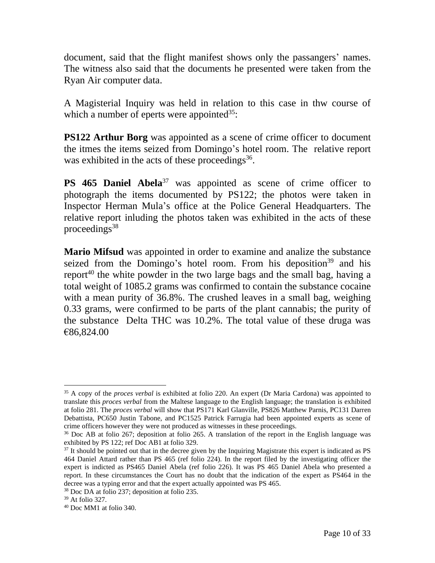document, said that the flight manifest shows only the passangers' names. The witness also said that the documents he presented were taken from the Ryan Air computer data.

A Magisterial Inquiry was held in relation to this case in thw course of which a number of eperts were appointed<sup>35</sup>:

**PS122 Arthur Borg** was appointed as a scene of crime officer to document the itmes the items seized from Domingo's hotel room. The relative report was exhibited in the acts of these proceedings<sup>36</sup>.

**PS 465 Daniel Abela**<sup>37</sup> was appointed as scene of crime officer to photograph the items documented by PS122; the photos were taken in Inspector Herman Mula's office at the Police General Headquarters. The relative report inluding the photos taken was exhibited in the acts of these proceedings $38$ 

**Mario Mifsud** was appointed in order to examine and analize the substance seized from the Domingo's hotel room. From his deposition<sup>39</sup> and his report<sup>40</sup> the white powder in the two large bags and the small bag, having a total weight of 1085.2 grams was confirmed to contain the substance cocaine with a mean purity of 36.8%. The crushed leaves in a small bag, weighing 0.33 grams, were confirmed to be parts of the plant cannabis; the purity of the substance Delta THC was 10.2%. The total value of these druga was €86,824.00

<sup>35</sup> A copy of the *proces verbal* is exhibited at folio 220. An expert (Dr Maria Cardona) was appointed to translate this *proces verbal* from the Maltese language to the English language; the translation is exhibited at folio 281. The *proces verbal* will show that PS171 Karl Glanville, PS826 Matthew Parnis, PC131 Darren Debattista, PC650 Justin Tabone, and PC1525 Patrick Farrugia had been appointed experts as scene of crime officers however they were not produced as witnesses in these proceedings.

<sup>36</sup> Doc AB at folio 267; deposition at folio 265. A translation of the report in the English language was exhibited by PS 122; ref Doc AB1 at folio 329.

 $37$  It should be pointed out that in the decree given by the Inquiring Magistrate this expert is indicated as PS 464 Daniel Attard rather than PS 465 (ref folio 224). In the report filed by the investigating officer the expert is indicted as PS465 Daniel Abela (ref folio 226). It was PS 465 Daniel Abela who presented a report. In these circumstances the Court has no doubt that the indication of the expert as PS464 in the decree was a typing error and that the expert actually appointed was PS 465.

<sup>38</sup> Doc DA at folio 237; deposition at folio 235.

<sup>39</sup> At folio 327.

<sup>40</sup> Doc MM1 at folio 340.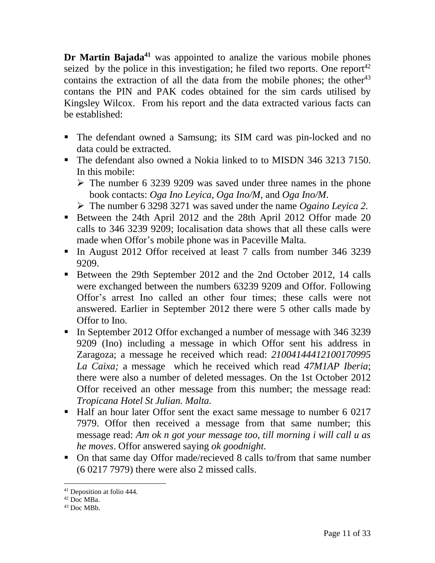**Dr Martin Bajada <sup>41</sup>** was appointed to analize the various mobile phones seized by the police in this investigation; he filed two reports. One report<sup>42</sup> contains the extraction of all the data from the mobile phones; the other<sup>43</sup> contans the PIN and PAK codes obtained for the sim cards utilised by Kingsley Wilcox. From his report and the data extracted various facts can be established:

- The defendant owned a Samsung; its SIM card was pin-locked and no data could be extracted.
- The defendant also owned a Nokia linked to to MISDN 346 3213 7150. In this mobile:
	- ➢ The number 6 3239 9209 was saved under three names in the phone book contacts: *Oga Ino Leyica*, *Oga Ino/M*, and *Oga Ino/M*.
	- ➢ The number 6 3298 3271 was saved under the name *Ogaino Leyica 2.*
- Between the 24th April 2012 and the 28th April 2012 Offor made 20 calls to 346 3239 9209; localisation data shows that all these calls were made when Offor's mobile phone was in Paceville Malta.
- **In August 2012 Offor received at least 7 calls from number 346 3239** 9209.
- Between the 29th September 2012 and the 2nd October 2012, 14 calls were exchanged between the numbers 63239 9209 and Offor. Following Offor's arrest Ino called an other four times; these calls were not answered. Earlier in September 2012 there were 5 other calls made by Offor to Ino.
- In September 2012 Offor exchanged a number of message with 346 3239 9209 (Ino) including a message in which Offor sent his address in Zaragoza; a message he received which read: *21004144412100170995 La Caixa;* a message which he received which read *47M1AP Iberia*; there were also a number of deleted messages. On the 1st October 2012 Offor received an other message from this number; the message read: *Tropicana Hotel St Julian. Malta.*
- Half an hour later Offor sent the exact same message to number 6 0217 7979. Offor then received a message from that same number; this message read: *Am ok n got your message too, till morning i will call u as he moves*. Offor answered saying *ok goodnight.*
- On that same day Offor made/recieved 8 calls to/from that same number (6 0217 7979) there were also 2 missed calls.

<sup>41</sup> Deposition at folio 444.

 $42$  Doc MBa.

<sup>43</sup> Doc MBb.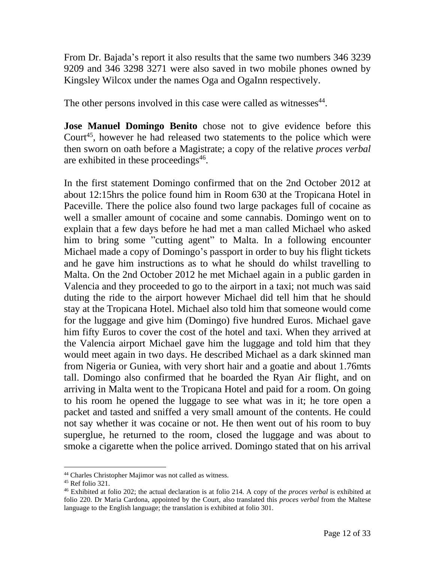From Dr. Bajada's report it also results that the same two numbers 346 3239 9209 and 346 3298 3271 were also saved in two mobile phones owned by Kingsley Wilcox under the names Oga and OgaInn respectively.

The other persons involved in this case were called as witnesses $44$ .

**Jose Manuel Domingo Benito** chose not to give evidence before this Court<sup>45</sup>, however he had released two statements to the police which were then sworn on oath before a Magistrate; a copy of the relative *proces verbal* are exhibited in these proceedings 46 .

In the first statement Domingo confirmed that on the 2nd October 2012 at about 12:15hrs the police found him in Room 630 at the Tropicana Hotel in Paceville. There the police also found two large packages full of cocaine as well a smaller amount of cocaine and some cannabis. Domingo went on to explain that a few days before he had met a man called Michael who asked him to bring some "cutting agent" to Malta. In a following encounter Michael made a copy of Domingo's passport in order to buy his flight tickets and he gave him instructions as to what he should do whilst travelling to Malta. On the 2nd October 2012 he met Michael again in a public garden in Valencia and they proceeded to go to the airport in a taxi; not much was said duting the ride to the airport however Michael did tell him that he should stay at the Tropicana Hotel. Michael also told him that someone would come for the luggage and give him (Domingo) five hundred Euros. Michael gave him fifty Euros to cover the cost of the hotel and taxi. When they arrived at the Valencia airport Michael gave him the luggage and told him that they would meet again in two days. He described Michael as a dark skinned man from Nigeria or Guniea, with very short hair and a goatie and about 1.76mts tall. Domingo also confirmed that he boarded the Ryan Air flight, and on arriving in Malta went to the Tropicana Hotel and paid for a room. On going to his room he opened the luggage to see what was in it; he tore open a packet and tasted and sniffed a very small amount of the contents. He could not say whether it was cocaine or not. He then went out of his room to buy superglue, he returned to the room, closed the luggage and was about to smoke a cigarette when the police arrived. Domingo stated that on his arrival

<sup>44</sup> Charles Christopher Majimor was not called as witness.

 $45$  Ref folio 321.

<sup>46</sup> Exhibited at folio 202; the actual declaration is at folio 214. A copy of the *proces verbal* is exhibited at folio 220. Dr Maria Cardona, appointed by the Court, also translated this *proces verbal* from the Maltese language to the English language; the translation is exhibited at folio 301.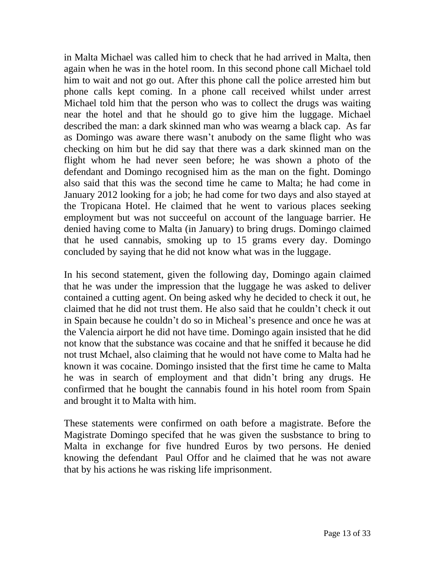in Malta Michael was called him to check that he had arrived in Malta, then again when he was in the hotel room. In this second phone call Michael told him to wait and not go out. After this phone call the police arrested him but phone calls kept coming. In a phone call received whilst under arrest Michael told him that the person who was to collect the drugs was waiting near the hotel and that he should go to give him the luggage. Michael described the man: a dark skinned man who was wearng a black cap. As far as Domingo was aware there wasn't anubody on the same flight who was checking on him but he did say that there was a dark skinned man on the flight whom he had never seen before; he was shown a photo of the defendant and Domingo recognised him as the man on the fight. Domingo also said that this was the second time he came to Malta; he had come in January 2012 looking for a job; he had come for two days and also stayed at the Tropicana Hotel. He claimed that he went to various places seeking employment but was not succeeful on account of the language barrier. He denied having come to Malta (in January) to bring drugs. Domingo claimed that he used cannabis, smoking up to 15 grams every day. Domingo concluded by saying that he did not know what was in the luggage.

In his second statement, given the following day, Domingo again claimed that he was under the impression that the luggage he was asked to deliver contained a cutting agent. On being asked why he decided to check it out, he claimed that he did not trust them. He also said that he couldn't check it out in Spain because he couldn't do so in Micheal's presence and once he was at the Valencia airport he did not have time. Domingo again insisted that he did not know that the substance was cocaine and that he sniffed it because he did not trust Mchael, also claiming that he would not have come to Malta had he known it was cocaine. Domingo insisted that the first time he came to Malta he was in search of employment and that didn't bring any drugs. He confirmed that he bought the cannabis found in his hotel room from Spain and brought it to Malta with him.

These statements were confirmed on oath before a magistrate. Before the Magistrate Domingo specifed that he was given the susbstance to bring to Malta in exchange for five hundred Euros by two persons. He denied knowing the defendant Paul Offor and he claimed that he was not aware that by his actions he was risking life imprisonment.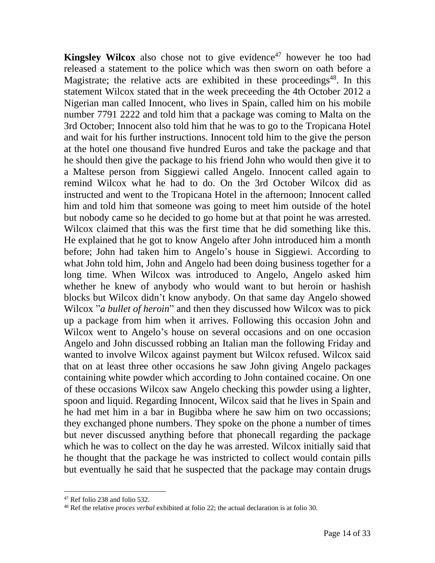**Kingsley Wilcox** also chose not to give evidence<sup>47</sup> however he too had released a statement to the police which was then sworn on oath before a Magistrate; the relative acts are exhibited in these proceedings<sup>48</sup>. In this statement Wilcox stated that in the week preceeding the 4th October 2012 a Nigerian man called Innocent, who lives in Spain, called him on his mobile number 7791 2222 and told him that a package was coming to Malta on the 3rd October; Innocent also told him that he was to go to the Tropicana Hotel and wait for his further instructions. Innocent told him to the give the person at the hotel one thousand five hundred Euros and take the package and that he should then give the package to his friend John who would then give it to a Maltese person from Siggiewi called Angelo. Innocent called again to remind Wilcox what he had to do. On the 3rd October Wilcox did as instructed and went to the Tropicana Hotel in the afternoon; Innocent called him and told him that someone was going to meet him outside of the hotel but nobody came so he decided to go home but at that point he was arrested. Wilcox claimed that this was the first time that he did something like this. He explained that he got to know Angelo after John introduced him a month before; John had taken him to Angelo's house in Siggiewi. According to what John told him, John and Angelo had been doing business together for a long time. When Wilcox was introduced to Angelo, Angelo asked him whether he knew of anybody who would want to but heroin or hashish blocks but Wilcox didn't know anybody. On that same day Angelo showed Wilcox "*a bullet of heroin*" and then they discussed how Wilcox was to pick up a package from him when it arrives. Following this occasion John and Wilcox went to Angelo's house on several occasions and on one occasion Angelo and John discussed robbing an Italian man the following Friday and wanted to involve Wilcox against payment but Wilcox refused. Wilcox said that on at least three other occasions he saw John giving Angelo packages containing white powder which according to John contained cocaine. On one of these occasions Wilcox saw Angelo checking this powder using a lighter, spoon and liquid. Regarding Innocent, Wilcox said that he lives in Spain and he had met him in a bar in Bugibba where he saw him on two occassions; they exchanged phone numbers. They spoke on the phone a number of times but never discussed anything before that phonecall regarding the package which he was to collect on the day he was arrested. Wilcox initially said that he thought that the package he was instricted to collect would contain pills but eventually he said that he suspected that the package may contain drugs

<sup>47</sup> Ref folio 238 and folio 532.

<sup>48</sup> Ref the relative *proces verbal* exhibited at folio 22; the actual declaration is at folio 30.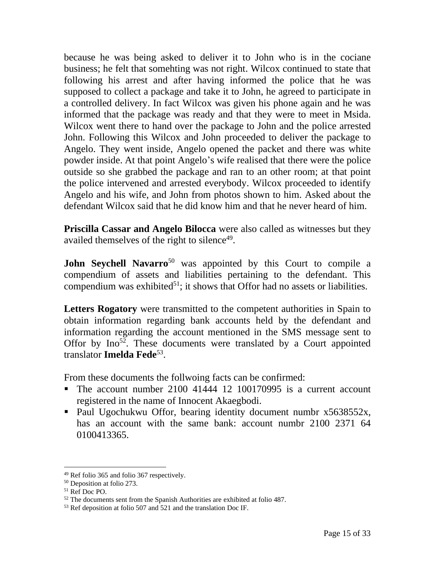because he was being asked to deliver it to John who is in the cociane business; he felt that somehting was not right. Wilcox continued to state that following his arrest and after having informed the police that he was supposed to collect a package and take it to John, he agreed to participate in a controlled delivery. In fact Wilcox was given his phone again and he was informed that the package was ready and that they were to meet in Msida. Wilcox went there to hand over the package to John and the police arrested John. Following this Wilcox and John proceeded to deliver the package to Angelo. They went inside, Angelo opened the packet and there was white powder inside. At that point Angelo's wife realised that there were the police outside so she grabbed the package and ran to an other room; at that point the police intervened and arrested everybody. Wilcox proceeded to identify Angelo and his wife, and John from photos shown to him. Asked about the defendant Wilcox said that he did know him and that he never heard of him.

**Priscilla Cassar and Angelo Bilocca** were also called as witnesses but they availed themselves of the right to silence<sup>49</sup>.

**John Seychell Navarro**<sup>50</sup> was appointed by this Court to compile a compendium of assets and liabilities pertaining to the defendant. This compendium was exhibited<sup>51</sup>; it shows that Offor had no assets or liabilities.

Letters Rogatory were transmitted to the competent authorities in Spain to obtain information regarding bank accounts held by the defendant and information regarding the account mentioned in the SMS message sent to Offor by  $Ino<sup>52</sup>$ . These documents were translated by a Court appointed translator **Imelda Fede**<sup>53</sup> .

From these documents the follwoing facts can be confirmed:

- The account number 2100 41444 12 100170995 is a current account registered in the name of Innocent Akaegbodi.
- Paul Ugochukwu Offor, bearing identity document numbr x5638552x, has an account with the same bank: account numbr 2100 2371 64 0100413365.

<sup>49</sup> Ref folio 365 and folio 367 respectively.

<sup>50</sup> Deposition at folio 273.

<sup>51</sup> Ref Doc PO.

 $52$  The documents sent from the Spanish Authorities are exhibited at folio 487.

<sup>53</sup> Ref deposition at folio 507 and 521 and the translation Doc IF.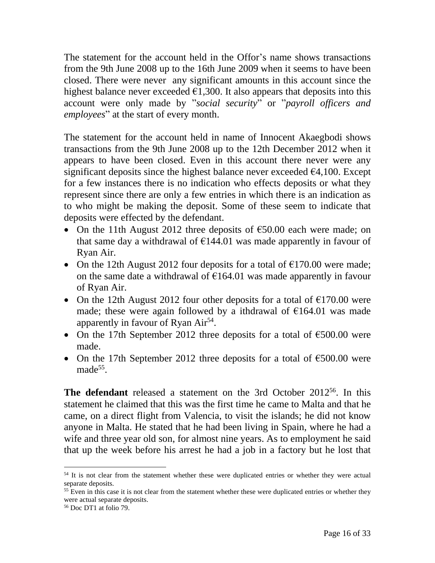The statement for the account held in the Offor's name shows transactions from the 9th June 2008 up to the 16th June 2009 when it seems to have been closed. There were never any significant amounts in this account since the highest balance never exceeded  $\epsilon$ 1,300. It also appears that deposits into this account were only made by "*social security*" or "*payroll officers and employees*" at the start of every month.

The statement for the account held in name of Innocent Akaegbodi shows transactions from the 9th June 2008 up to the 12th December 2012 when it appears to have been closed. Even in this account there never were any significant deposits since the highest balance never exceeded  $\epsilon$ 4,100. Except for a few instances there is no indication who effects deposits or what they represent since there are only a few entries in which there is an indication as to who might be making the deposit. Some of these seem to indicate that deposits were effected by the defendant.

- On the 11th August 2012 three deposits of  $\epsilon$ 50.00 each were made; on that same day a withdrawal of  $\epsilon$ 144.01 was made apparently in favour of Ryan Air.
- On the 12th August 2012 four deposits for a total of  $\epsilon$ 170.00 were made; on the same date a withdrawal of  $E164.01$  was made apparently in favour of Ryan Air.
- On the 12th August 2012 four other deposits for a total of  $\epsilon$ 170.00 were made; these were again followed by a ithdrawal of  $\epsilon$ 164.01 was made apparently in favour of Ryan Air<sup>54</sup>.
- On the 17th September 2012 three deposits for a total of  $\epsilon$ 500.00 were made.
- On the 17th September 2012 three deposits for a total of  $\epsilon$ 500.00 were made<sup>55</sup>.

**The defendant** released a statement on the 3rd October 2012<sup>56</sup>. In this statement he claimed that this was the first time he came to Malta and that he came, on a direct flight from Valencia, to visit the islands; he did not know anyone in Malta. He stated that he had been living in Spain, where he had a wife and three year old son, for almost nine years. As to employment he said that up the week before his arrest he had a job in a factory but he lost that

<sup>&</sup>lt;sup>54</sup> It is not clear from the statement whether these were duplicated entries or whether they were actual separate deposits.

<sup>&</sup>lt;sup>55</sup> Even in this case it is not clear from the statement whether these were duplicated entries or whether they were actual separate deposits.

<sup>56</sup> Doc DT1 at folio 79.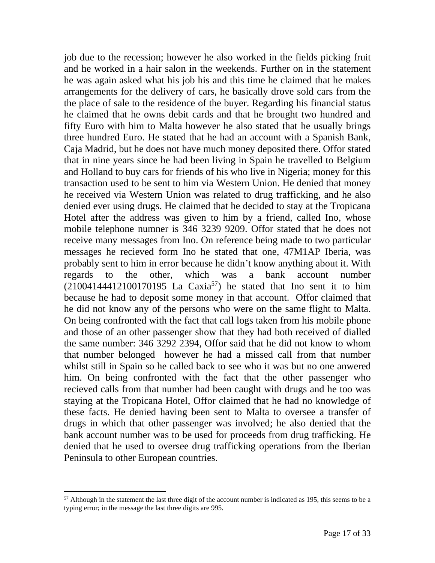job due to the recession; however he also worked in the fields picking fruit and he worked in a hair salon in the weekends. Further on in the statement he was again asked what his job his and this time he claimed that he makes arrangements for the delivery of cars, he basically drove sold cars from the the place of sale to the residence of the buyer. Regarding his financial status he claimed that he owns debit cards and that he brought two hundred and fifty Euro with him to Malta however he also stated that he usually brings three hundred Euro. He stated that he had an account with a Spanish Bank, Caja Madrid, but he does not have much money deposited there. Offor stated that in nine years since he had been living in Spain he travelled to Belgium and Holland to buy cars for friends of his who live in Nigeria; money for this transaction used to be sent to him via Western Union. He denied that money he received via Western Union was related to drug trafficking, and he also denied ever using drugs. He claimed that he decided to stay at the Tropicana Hotel after the address was given to him by a friend, called Ino, whose mobile telephone numner is 346 3239 9209. Offor stated that he does not receive many messages from Ino. On reference being made to two particular messages he recieved form Ino he stated that one, 47M1AP Iberia, was probably sent to him in error because he didn't know anything about it. With regards to the other, which was a bank account number  $(21004144412100170195$  La Caxia<sup>57</sup>) he stated that Ino sent it to him because he had to deposit some money in that account. Offor claimed that he did not know any of the persons who were on the same flight to Malta. On being confronted with the fact that call logs taken from his mobile phone and those of an other passenger show that they had both received of dialled the same number: 346 3292 2394, Offor said that he did not know to whom that number belonged however he had a missed call from that number whilst still in Spain so he called back to see who it was but no one anwered him. On being confronted with the fact that the other passenger who recieved calls from that number had been caught with drugs and he too was staying at the Tropicana Hotel, Offor claimed that he had no knowledge of these facts. He denied having been sent to Malta to oversee a transfer of drugs in which that other passenger was involved; he also denied that the bank account number was to be used for proceeds from drug trafficking. He denied that he used to oversee drug trafficking operations from the Iberian Peninsula to other European countries.

 $57$  Although in the statement the last three digit of the account number is indicated as 195, this seems to be a typing error; in the message the last three digits are 995.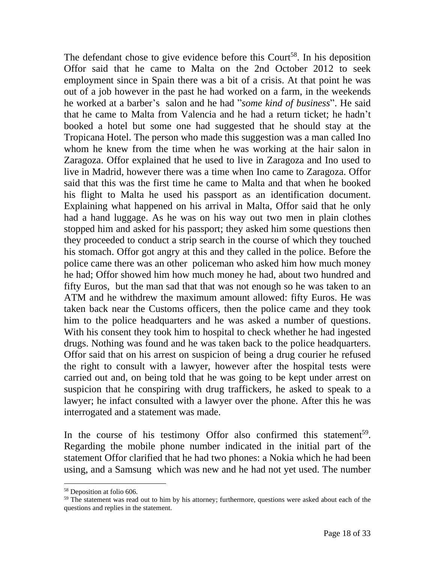The defendant chose to give evidence before this Court<sup>58</sup>. In his deposition Offor said that he came to Malta on the 2nd October 2012 to seek employment since in Spain there was a bit of a crisis. At that point he was out of a job however in the past he had worked on a farm, in the weekends he worked at a barber's salon and he had "*some kind of business*". He said that he came to Malta from Valencia and he had a return ticket; he hadn't booked a hotel but some one had suggested that he should stay at the Tropicana Hotel. The person who made this suggestion was a man called Ino whom he knew from the time when he was working at the hair salon in Zaragoza. Offor explained that he used to live in Zaragoza and Ino used to live in Madrid, however there was a time when Ino came to Zaragoza. Offor said that this was the first time he came to Malta and that when he booked his flight to Malta he used his passport as an identification document. Explaining what happened on his arrival in Malta, Offor said that he only had a hand luggage. As he was on his way out two men in plain clothes stopped him and asked for his passport; they asked him some questions then they proceeded to conduct a strip search in the course of which they touched his stomach. Offor got angry at this and they called in the police. Before the police came there was an other policeman who asked him how much money he had; Offor showed him how much money he had, about two hundred and fifty Euros, but the man sad that that was not enough so he was taken to an ATM and he withdrew the maximum amount allowed: fifty Euros. He was taken back near the Customs officers, then the police came and they took him to the police headquarters and he was asked a number of questions. With his consent they took him to hospital to check whether he had ingested drugs. Nothing was found and he was taken back to the police headquarters. Offor said that on his arrest on suspicion of being a drug courier he refused the right to consult with a lawyer, however after the hospital tests were carried out and, on being told that he was going to be kept under arrest on suspicion that he conspiring with drug traffickers, he asked to speak to a lawyer; he infact consulted with a lawyer over the phone. After this he was interrogated and a statement was made.

In the course of his testimony Offor also confirmed this statement<sup>59</sup>. Regarding the mobile phone number indicated in the initial part of the statement Offor clarified that he had two phones: a Nokia which he had been using, and a Samsung which was new and he had not yet used. The number

<sup>58</sup> Deposition at folio 606.

<sup>&</sup>lt;sup>59</sup> The statement was read out to him by his attorney; furthermore, questions were asked about each of the questions and replies in the statement.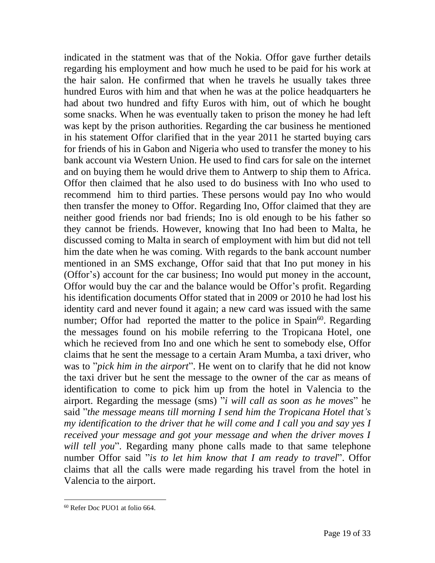indicated in the statment was that of the Nokia. Offor gave further details regarding his employment and how much he used to be paid for his work at the hair salon. He confirmed that when he travels he usually takes three hundred Euros with him and that when he was at the police headquarters he had about two hundred and fifty Euros with him, out of which he bought some snacks. When he was eventually taken to prison the money he had left was kept by the prison authorities. Regarding the car business he mentioned in his statement Offor clarified that in the year 2011 he started buying cars for friends of his in Gabon and Nigeria who used to transfer the money to his bank account via Western Union. He used to find cars for sale on the internet and on buying them he would drive them to Antwerp to ship them to Africa. Offor then claimed that he also used to do business with Ino who used to recommend him to third parties. These persons would pay Ino who would then transfer the money to Offor. Regarding Ino, Offor claimed that they are neither good friends nor bad friends; Ino is old enough to be his father so they cannot be friends. However, knowing that Ino had been to Malta, he discussed coming to Malta in search of employment with him but did not tell him the date when he was coming. With regards to the bank account number mentioned in an SMS exchange, Offor said that that Ino put money in his (Offor's) account for the car business; Ino would put money in the account, Offor would buy the car and the balance would be Offor's profit. Regarding his identification documents Offor stated that in 2009 or 2010 he had lost his identity card and never found it again; a new card was issued with the same number; Offor had reported the matter to the police in Spain<sup>60</sup>. Regarding the messages found on his mobile referring to the Tropicana Hotel, one which he recieved from Ino and one which he sent to somebody else, Offor claims that he sent the message to a certain Aram Mumba, a taxi driver, who was to "*pick him in the airport*". He went on to clarify that he did not know the taxi driver but he sent the message to the owner of the car as means of identification to come to pick him up from the hotel in Valencia to the airport. Regarding the message (sms) "*i will call as soon as he moves*" he said "*the message means till morning I send him the Tropicana Hotel that's my identification to the driver that he will come and I call you and say yes I received your message and got your message and when the driver moves I will tell you*". Regarding many phone calls made to that same telephone number Offor said "*is to let him know that I am ready to travel*". Offor claims that all the calls were made regarding his travel from the hotel in Valencia to the airport.

<sup>60</sup> Refer Doc PUO1 at folio 664.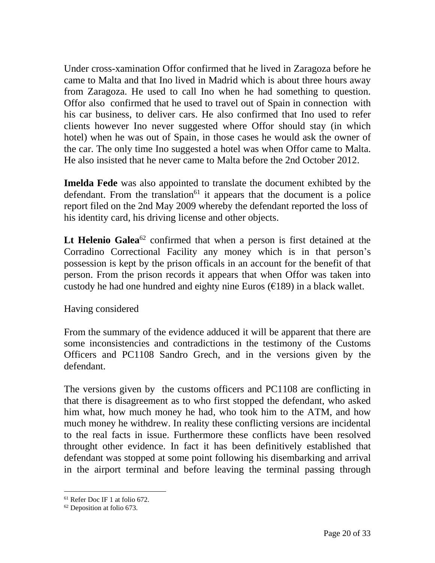Under cross-xamination Offor confirmed that he lived in Zaragoza before he came to Malta and that Ino lived in Madrid which is about three hours away from Zaragoza. He used to call Ino when he had something to question. Offor also confirmed that he used to travel out of Spain in connection with his car business, to deliver cars. He also confirmed that Ino used to refer clients however Ino never suggested where Offor should stay (in which hotel) when he was out of Spain, in those cases he would ask the owner of the car. The only time Ino suggested a hotel was when Offor came to Malta. He also insisted that he never came to Malta before the 2nd October 2012.

**Imelda Fede** was also appointed to translate the document exhibted by the defendant. From the translation $61$  it appears that the document is a police report filed on the 2nd May 2009 whereby the defendant reported the loss of his identity card, his driving license and other objects.

Lt Helenio Galea<sup>62</sup> confirmed that when a person is first detained at the Corradino Correctional Facility any money which is in that person's possession is kept by the prison officals in an account for the benefit of that person. From the prison records it appears that when Offor was taken into custody he had one hundred and eighty nine Euros  $(\epsilon 189)$  in a black wallet.

#### Having considered

From the summary of the evidence adduced it will be apparent that there are some inconsistencies and contradictions in the testimony of the Customs Officers and PC1108 Sandro Grech, and in the versions given by the defendant.

The versions given by the customs officers and PC1108 are conflicting in that there is disagreement as to who first stopped the defendant, who asked him what, how much money he had, who took him to the ATM, and how much money he withdrew. In reality these conflicting versions are incidental to the real facts in issue. Furthermore these conflicts have been resolved throught other evidence. In fact it has been definitively established that defendant was stopped at some point following his disembarking and arrival in the airport terminal and before leaving the terminal passing through

<sup>61</sup> Refer Doc IF 1 at folio 672.

<sup>62</sup> Deposition at folio 673.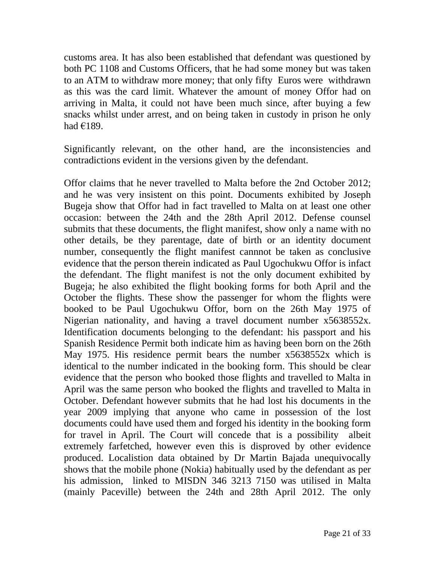customs area. It has also been established that defendant was questioned by both PC 1108 and Customs Officers, that he had some money but was taken to an ATM to withdraw more money; that only fifty Euros were withdrawn as this was the card limit. Whatever the amount of money Offor had on arriving in Malta, it could not have been much since, after buying a few snacks whilst under arrest, and on being taken in custody in prison he only had €189.

Significantly relevant, on the other hand, are the inconsistencies and contradictions evident in the versions given by the defendant.

Offor claims that he never travelled to Malta before the 2nd October 2012; and he was very insistent on this point. Documents exhibited by Joseph Bugeja show that Offor had in fact travelled to Malta on at least one other occasion: between the 24th and the 28th April 2012. Defense counsel submits that these documents, the flight manifest, show only a name with no other details, be they parentage, date of birth or an identity document number, consequently the flight manifest cannnot be taken as conclusive evidence that the person therein indicated as Paul Ugochukwu Offor is infact the defendant. The flight manifest is not the only document exhibited by Bugeja; he also exhibited the flight booking forms for both April and the October the flights. These show the passenger for whom the flights were booked to be Paul Ugochukwu Offor, born on the 26th May 1975 of Nigerian nationality, and having a travel document number x5638552x. Identification documents belonging to the defendant: his passport and his Spanish Residence Permit both indicate him as having been born on the 26th May 1975. His residence permit bears the number x5638552x which is identical to the number indicated in the booking form. This should be clear evidence that the person who booked those flights and travelled to Malta in April was the same person who booked the flights and travelled to Malta in October. Defendant however submits that he had lost his documents in the year 2009 implying that anyone who came in possession of the lost documents could have used them and forged his identity in the booking form for travel in April. The Court will concede that is a possibility albeit extremely farfetched, however even this is disproved by other evidence produced. Localistion data obtained by Dr Martin Bajada unequivocally shows that the mobile phone (Nokia) habitually used by the defendant as per his admission, linked to MISDN 346 3213 7150 was utilised in Malta (mainly Paceville) between the 24th and 28th April 2012. The only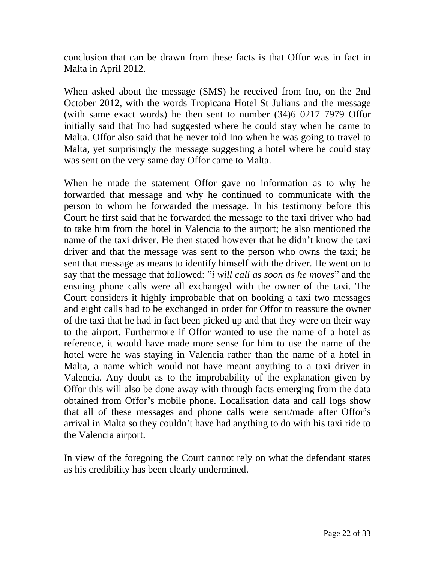conclusion that can be drawn from these facts is that Offor was in fact in Malta in April 2012.

When asked about the message (SMS) he received from Ino, on the 2nd October 2012, with the words Tropicana Hotel St Julians and the message (with same exact words) he then sent to number (34)6 0217 7979 Offor initially said that Ino had suggested where he could stay when he came to Malta. Offor also said that he never told Ino when he was going to travel to Malta, yet surprisingly the message suggesting a hotel where he could stay was sent on the very same day Offor came to Malta.

When he made the statement Offor gave no information as to why he forwarded that message and why he continued to communicate with the person to whom he forwarded the message. In his testimony before this Court he first said that he forwarded the message to the taxi driver who had to take him from the hotel in Valencia to the airport; he also mentioned the name of the taxi driver. He then stated however that he didn't know the taxi driver and that the message was sent to the person who owns the taxi; he sent that message as means to identify himself with the driver. He went on to say that the message that followed: "*i will call as soon as he moves*" and the ensuing phone calls were all exchanged with the owner of the taxi. The Court considers it highly improbable that on booking a taxi two messages and eight calls had to be exchanged in order for Offor to reassure the owner of the taxi that he had in fact been picked up and that they were on their way to the airport. Furthermore if Offor wanted to use the name of a hotel as reference, it would have made more sense for him to use the name of the hotel were he was staying in Valencia rather than the name of a hotel in Malta, a name which would not have meant anything to a taxi driver in Valencia. Any doubt as to the improbability of the explanation given by Offor this will also be done away with through facts emerging from the data obtained from Offor's mobile phone. Localisation data and call logs show that all of these messages and phone calls were sent/made after Offor's arrival in Malta so they couldn't have had anything to do with his taxi ride to the Valencia airport.

In view of the foregoing the Court cannot rely on what the defendant states as his credibility has been clearly undermined.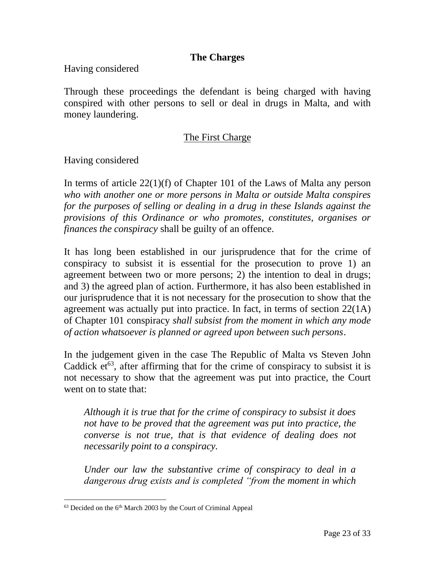#### **The Charges**

Having considered

Through these proceedings the defendant is being charged with having conspired with other persons to sell or deal in drugs in Malta, and with money laundering.

### The First Charge

Having considered

In terms of article 22(1)(f) of Chapter 101 of the Laws of Malta any person *who with another one or more persons in Malta or outside Malta conspires for the purposes of selling or dealing in a drug in these Islands against the provisions of this Ordinance or who promotes, constitutes, organises or finances the conspiracy* shall be guilty of an offence.

It has long been established in our jurisprudence that for the crime of conspiracy to subsist it is essential for the prosecution to prove 1) an agreement between two or more persons; 2) the intention to deal in drugs; and 3) the agreed plan of action. Furthermore, it has also been established in our jurisprudence that it is not necessary for the prosecution to show that the agreement was actually put into practice. In fact, in terms of section 22(1A) of Chapter 101 conspiracy *shall subsist from the moment in which any mode of action whatsoever is planned or agreed upon between such persons*.

In the judgement given in the case The Republic of Malta vs Steven John Caddick  $et^{63}$ , after affirming that for the crime of conspiracy to subsist it is not necessary to show that the agreement was put into practice, the Court went on to state that:

*Although it is true that for the crime of conspiracy to subsist it does not have to be proved that the agreement was put into practice, the converse is not true, that is that evidence of dealing does not necessarily point to a conspiracy.*

*Under our law the substantive crime of conspiracy to deal in a dangerous drug exists and is completed "from the moment in which* 

<sup>&</sup>lt;sup>63</sup> Decided on the 6<sup>th</sup> March 2003 by the Court of Criminal Appeal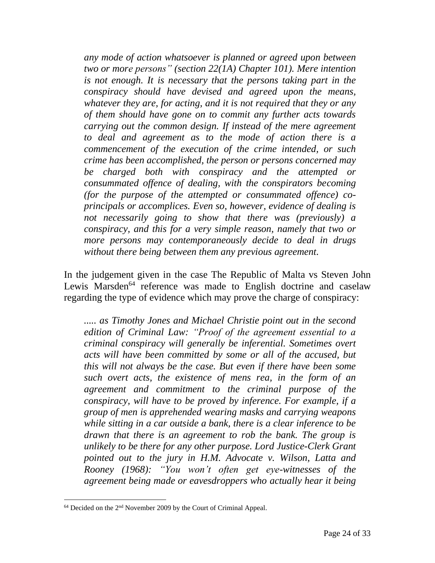*any mode of action whatsoever is planned or agreed upon between two or more persons" (section 22(1A) Chapter 101). Mere intention is not enough. It is necessary that the persons taking part in the conspiracy should have devised and agreed upon the means, whatever they are, for acting, and it is not required that they or any of them should have gone on to commit any further acts towards carrying out the common design. If instead of the mere agreement to deal and agreement as to the mode of action there is a commencement of the execution of the crime intended, or such crime has been accomplished, the person or persons concerned may be charged both with conspiracy and the attempted or consummated offence of dealing, with the conspirators becoming (for the purpose of the attempted or consummated offence) coprincipals or accomplices. Even so, however, evidence of dealing is not necessarily going to show that there was (previously) a conspiracy, and this for a very simple reason, namely that two or more persons may contemporaneously decide to deal in drugs without there being between them any previous agreement.*

In the judgement given in the case The Republic of Malta vs Steven John Lewis Marsden<sup>64</sup> reference was made to English doctrine and caselaw regarding the type of evidence which may prove the charge of conspiracy:

*..... as Timothy Jones and Michael Christie point out in the second edition of Criminal Law: "Proof of the agreement essential to a criminal conspiracy will generally be inferential. Sometimes overt acts will have been committed by some or all of the accused, but this will not always be the case. But even if there have been some such overt acts, the existence of mens rea, in the form of an agreement and commitment to the criminal purpose of the conspiracy, will have to be proved by inference. For example, if a group of men is apprehended wearing masks and carrying weapons while sitting in a car outside a bank, there is a clear inference to be drawn that there is an agreement to rob the bank. The group is unlikely to be there for any other purpose. Lord Justice-Clerk Grant pointed out to the jury in H.M. Advocate v. Wilson, Latta and Rooney (1968): "You won't often get eye-witnesses of the agreement being made or eavesdroppers who actually hear it being* 

 $64$  Decided on the  $2<sup>nd</sup>$  November 2009 by the Court of Criminal Appeal.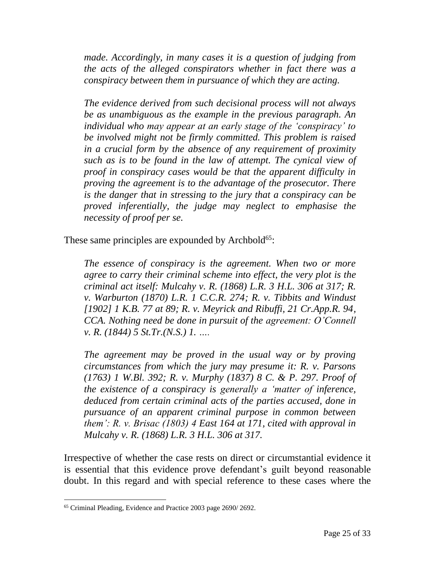*made. Accordingly, in many cases it is a question of judging from the acts of the alleged conspirators whether in fact there was a conspiracy between them in pursuance of which they are acting.*

*The evidence derived from such decisional process will not always be as unambiguous as the example in the previous paragraph. An individual who may appear at an early stage of the 'conspiracy' to be involved might not be firmly committed. This problem is raised in a crucial form by the absence of any requirement of proximity such as is to be found in the law of attempt. The cynical view of proof in conspiracy cases would be that the apparent difficulty in proving the agreement is to the advantage of the prosecutor. There is the danger that in stressing to the jury that a conspiracy can be proved inferentially, the judge may neglect to emphasise the necessity of proof per se.*

These same principles are expounded by Archbold $65$ :

*The essence of conspiracy is the agreement. When two or more agree to carry their criminal scheme into effect, the very plot is the criminal act itself: Mulcahy v. R. (1868) L.R. 3 H.L. 306 at 317; R. v. Warburton (1870) L.R. 1 C.C.R. 274; R. v. Tibbits and Windust [1902] 1 K.B. 77 at 89; R. v. Meyrick and Ribuffi, 21 Cr.App.R. 94, CCA. Nothing need be done in pursuit of the agreement: O'Connell v. R. (1844) 5 St.Tr.(N.S.) 1. ….* 

*The agreement may be proved in the usual way or by proving circumstances from which the jury may presume it: R. v. Parsons (1763) 1 W.Bl. 392; R. v. Murphy (1837) 8 C. & P. 297. Proof of the existence of a conspiracy is generally a 'matter of inference, deduced from certain criminal acts of the parties accused, done in pursuance of an apparent criminal purpose in common between them': R. v. Brisac (1803) 4 East 164 at 171, cited with approval in Mulcahy v. R. (1868) L.R. 3 H.L. 306 at 317.*

Irrespective of whether the case rests on direct or circumstantial evidence it is essential that this evidence prove defendant's guilt beyond reasonable doubt. In this regard and with special reference to these cases where the

<sup>65</sup> Criminal Pleading, Evidence and Practice 2003 page 2690/ 2692.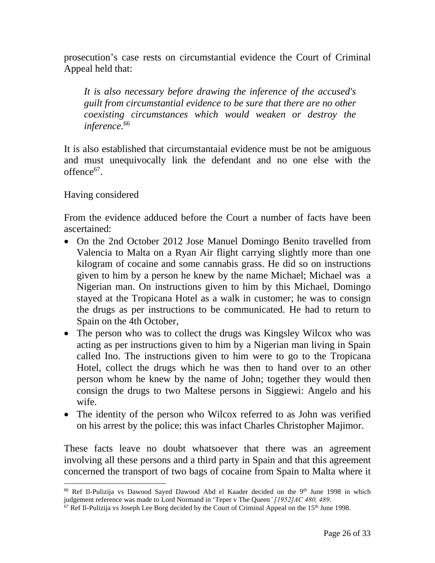prosecution's case rests on circumstantial evidence the Court of Criminal Appeal held that:

*It is also necessary before drawing the inference of the accused's guilt from circumstantial evidence to be sure that there are no other coexisting circumstances which would weaken or destroy the inference.*<sup>66</sup>

It is also established that circumstantaial evidence must be not be amiguous and must unequivocally link the defendant and no one else with the offence<sup>67</sup>.

Having considered

From the evidence adduced before the Court a number of facts have been ascertained:

- On the 2nd October 2012 Jose Manuel Domingo Benito travelled from Valencia to Malta on a Ryan Air flight carrying slightly more than one kilogram of cocaine and some cannabis grass. He did so on instructions given to him by a person he knew by the name Michael; Michael was a Nigerian man. On instructions given to him by this Michael, Domingo stayed at the Tropicana Hotel as a walk in customer; he was to consign the drugs as per instructions to be communicated. He had to return to Spain on the 4th October,
- The person who was to collect the drugs was Kingsley Wilcox who was acting as per instructions given to him by a Nigerian man living in Spain called Ino. The instructions given to him were to go to the Tropicana Hotel, collect the drugs which he was then to hand over to an other person whom he knew by the name of John; together they would then consign the drugs to two Maltese persons in Siggiewi: Angelo and his wife.
- The identity of the person who Wilcox referred to as John was verified on his arrest by the police; this was infact Charles Christopher Majimor.

These facts leave no doubt whatsoever that there was an agreement involving all these persons and a third party in Spain and that this agreement concerned the transport of two bags of cocaine from Spain to Malta where it

<sup>&</sup>lt;sup>66</sup> Ref Il-Pulizija vs Dawood Sayed Dawood Abd el Kaader decided on the 9<sup>th</sup> June 1998 in which judgement reference was made to Lord Normand in 'Teper v The Queen*' [1952]AC 480, 489*.

 $67$  Ref Il-Pulizija vs Joseph Lee Borg decided by the Court of Criminal Appeal on the 15<sup>th</sup> June 1998.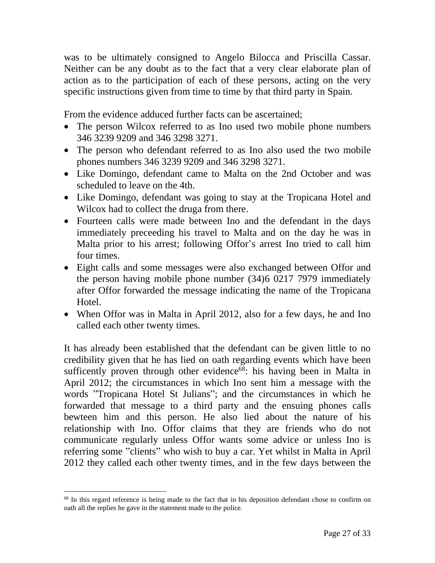was to be ultimately consigned to Angelo Bilocca and Priscilla Cassar. Neither can be any doubt as to the fact that a very clear elaborate plan of action as to the participation of each of these persons, acting on the very specific instructions given from time to time by that third party in Spain.

From the evidence adduced further facts can be ascertained;

- The person Wilcox referred to as Ino used two mobile phone numbers 346 3239 9209 and 346 3298 3271.
- The person who defendant referred to as Ino also used the two mobile phones numbers 346 3239 9209 and 346 3298 3271.
- Like Domingo, defendant came to Malta on the 2nd October and was scheduled to leave on the 4th.
- Like Domingo, defendant was going to stay at the Tropicana Hotel and Wilcox had to collect the druga from there.
- Fourteen calls were made between Ino and the defendant in the days immediately preceeding his travel to Malta and on the day he was in Malta prior to his arrest; following Offor's arrest Ino tried to call him four times.
- Eight calls and some messages were also exchanged between Offor and the person having mobile phone number (34)6 0217 7979 immediately after Offor forwarded the message indicating the name of the Tropicana Hotel.
- When Offor was in Malta in April 2012, also for a few days, he and Ino called each other twenty times.

It has already been established that the defendant can be given little to no credibility given that he has lied on oath regarding events which have been sufficently proven through other evidence<sup>68</sup>: his having been in Malta in April 2012; the circumstances in which Ino sent him a message with the words "Tropicana Hotel St Julians"; and the circumstances in which he forwarded that message to a third party and the ensuing phones calls bewteen him and this person. He also lied about the nature of his relationship with Ino. Offor claims that they are friends who do not communicate regularly unless Offor wants some advice or unless Ino is referring some "clients" who wish to buy a car. Yet whilst in Malta in April 2012 they called each other twenty times, and in the few days between the

<sup>&</sup>lt;sup>68</sup> In this regard reference is being made to the fact that in his deposition defendant chose to confirm on oath all the replies he gave in the statement made to the police.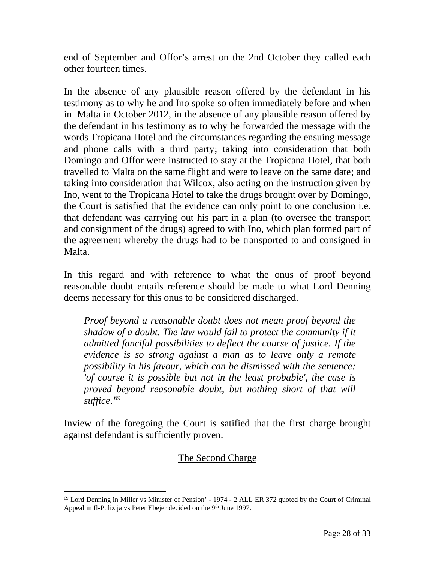end of September and Offor's arrest on the 2nd October they called each other fourteen times.

In the absence of any plausible reason offered by the defendant in his testimony as to why he and Ino spoke so often immediately before and when in Malta in October 2012, in the absence of any plausible reason offered by the defendant in his testimony as to why he forwarded the message with the words Tropicana Hotel and the circumstances regarding the ensuing message and phone calls with a third party; taking into consideration that both Domingo and Offor were instructed to stay at the Tropicana Hotel, that both travelled to Malta on the same flight and were to leave on the same date; and taking into consideration that Wilcox, also acting on the instruction given by Ino, went to the Tropicana Hotel to take the drugs brought over by Domingo, the Court is satisfied that the evidence can only point to one conclusion i.e. that defendant was carrying out his part in a plan (to oversee the transport and consignment of the drugs) agreed to with Ino, which plan formed part of the agreement whereby the drugs had to be transported to and consigned in Malta.

In this regard and with reference to what the onus of proof beyond reasonable doubt entails reference should be made to what Lord Denning deems necessary for this onus to be considered discharged.

*Proof beyond a reasonable doubt does not mean proof beyond the shadow of a doubt. The law would fail to protect the community if it admitted fanciful possibilities to deflect the course of justice. If the evidence is so strong against a man as to leave only a remote possibility in his favour, which can be dismissed with the sentence: 'of course it is possible but not in the least probable', the case is proved beyond reasonable doubt, but nothing short of that will suffice*. 69

Inview of the foregoing the Court is satified that the first charge brought against defendant is sufficiently proven.

## The Second Charge

<sup>69</sup> Lord Denning in Miller vs Minister of Pension' - 1974 - 2 ALL ER 372 quoted by the Court of Criminal Appeal in Il-Pulizija vs Peter Ebejer decided on the 9<sup>th</sup> June 1997.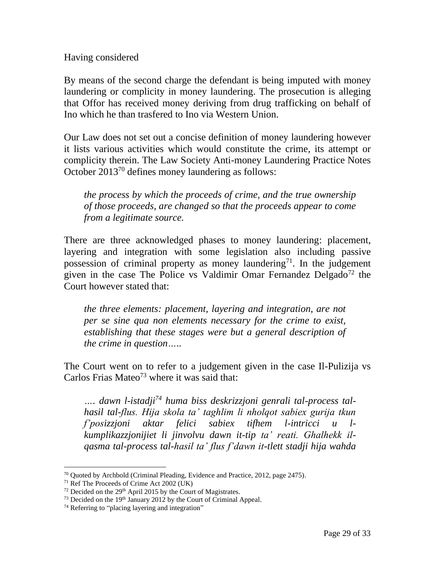Having considered

By means of the second charge the defendant is being imputed with money laundering or complicity in money laundering. The prosecution is alleging that Offor has received money deriving from drug trafficking on behalf of Ino which he than trasfered to Ino via Western Union.

Our Law does not set out a concise definition of money laundering however it lists various activities which would constitute the crime, its attempt or complicity therein. The Law Society Anti-money Laundering Practice Notes October 2013<sup>70</sup> defines money laundering as follows:

*the process by which the proceeds of crime, and the true ownership of those proceeds, are changed so that the proceeds appear to come from a legitimate source.* 

There are three acknowledged phases to money laundering: placement, layering and integration with some legislation also including passive possession of criminal property as money laundering<sup>71</sup>. In the judgement given in the case The Police vs Valdimir Omar Fernandez Delgado<sup>72</sup> the Court however stated that:

*the three elements: placement, layering and integration, are not per se sine qua non elements necessary for the crime to exist, establishing that these stages were but a general description of the crime in question…..* 

The Court went on to refer to a judgement given in the case Il-Pulizija vs Carlos Frias Mateo<sup>73</sup> where it was said that:

*…. dawn l-istadji<sup>74</sup> huma biss deskrizzjoni genrali tal-process talhasil tal-flus. Hija skola ta' taghlim li nholqot sabiex gurija tkun f'posizzjoni aktar felici sabiex tifhem l-intricci u lkumplikazzjonijiet li jinvolvu dawn it-tip ta' reati. Ghalhekk ilqasma tal-process tal-hasil ta' flus f'dawn it-tlett stadji hija wahda* 

 $70$  Quoted by Archbold (Criminal Pleading, Evidence and Practice, 2012, page 2475).

<sup>71</sup> Ref The Proceeds of Crime Act 2002 (UK)

<sup>&</sup>lt;sup>72</sup> Decided on the 29<sup>th</sup> April 2015 by the Court of Magistrates.

 $73$  Decided on the 19<sup>th</sup> January 2012 by the Court of Criminal Appeal.

<sup>74</sup> Referring to "placing layering and integration"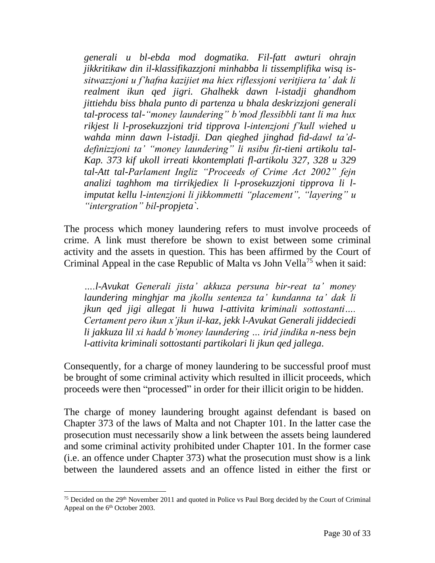*generali u bl-ebda mod dogmatika. Fil-fatt awturi ohrajn jikkritikaw din il-klassifikazzjoni minhabba li tissemplifika wisq issitwazzjoni u f'hafna kazijiet ma hiex riflessjoni veritjiera ta' dak li realment ikun qed jigri. Ghalhekk dawn l-istadji ghandhom jittiehdu biss bhala punto di partenza u bhala deskrizzjoni generali tal-process tal-"money laundering" b'mod flessibbli tant li ma hux rikjest li l-prosekuzzjoni trid tipprova l-intenzjoni f'kull wiehed u wahda minn dawn l-istadji. Dan qieghed jinghad fid-dawl ta'ddefinizzjoni ta' "money laundering" li nsibu fit-tieni artikolu tal-Kap. 373 kif ukoll irreati kkontemplati fl-artikolu 327, 328 u 329 tal-Att tal-Parlament Ingliz "Proceeds of Crime Act 2002" fejn analizi taghhom ma tirrikjediex li l-prosekuzzjoni tipprova li limputat kellu l-intenzjoni li jikkommetti "placement", "layering" u "intergration" bil-propjeta`.*

The process which money laundering refers to must involve proceeds of crime. A link must therefore be shown to exist between some criminal activity and the assets in question. This has been affirmed by the Court of Criminal Appeal in the case Republic of Malta vs John Vella<sup>75</sup> when it said:

*….l-Avukat Generali jista' akkuza persuna bir-reat ta' money laundering minghjar ma jkollu sentenza ta' kundanna ta' dak li jkun qed jigi allegat li huwa l-attivita kriminali sottostanti…. Certament pero ikun x'jkun il-kaz, jekk l-Avukat Generali jiddeciedi li jakkuza lil xi hadd b'money laundering … irid jindika n-ness bejn l-attivita kriminali sottostanti partikolari li jkun qed jallega*.

Consequently, for a charge of money laundering to be successful proof must be brought of some criminal activity which resulted in illicit proceeds, which proceeds were then "processed" in order for their illicit origin to be hidden.

The charge of money laundering brought against defendant is based on Chapter 373 of the laws of Malta and not Chapter 101. In the latter case the prosecution must necessarily show a link between the assets being laundered and some criminal activity prohibited under Chapter 101. In the former case (i.e. an offence under Chapter 373) what the prosecution must show is a link between the laundered assets and an offence listed in either the first or

<sup>&</sup>lt;sup>75</sup> Decided on the 29<sup>th</sup> November 2011 and quoted in Police vs Paul Borg decided by the Court of Criminal Appeal on the 6<sup>th</sup> October 2003.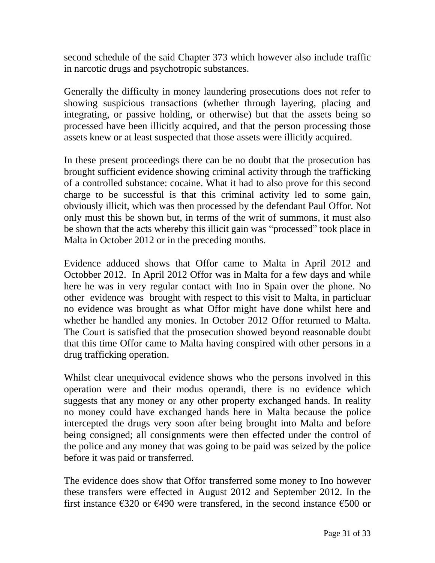second schedule of the said Chapter 373 which however also include traffic in narcotic drugs and psychotropic substances.

Generally the difficulty in money laundering prosecutions does not refer to showing suspicious transactions (whether through layering, placing and integrating, or passive holding, or otherwise) but that the assets being so processed have been illicitly acquired, and that the person processing those assets knew or at least suspected that those assets were illicitly acquired.

In these present proceedings there can be no doubt that the prosecution has brought sufficient evidence showing criminal activity through the trafficking of a controlled substance: cocaine. What it had to also prove for this second charge to be successful is that this criminal activity led to some gain, obviously illicit, which was then processed by the defendant Paul Offor. Not only must this be shown but, in terms of the writ of summons, it must also be shown that the acts whereby this illicit gain was "processed" took place in Malta in October 2012 or in the preceding months.

Evidence adduced shows that Offor came to Malta in April 2012 and Octobber 2012. In April 2012 Offor was in Malta for a few days and while here he was in very regular contact with Ino in Spain over the phone. No other evidence was brought with respect to this visit to Malta, in particluar no evidence was brought as what Offor might have done whilst here and whether he handled any monies. In October 2012 Offor returned to Malta. The Court is satisfied that the prosecution showed beyond reasonable doubt that this time Offor came to Malta having conspired with other persons in a drug trafficking operation.

Whilst clear unequivocal evidence shows who the persons involved in this operation were and their modus operandi, there is no evidence which suggests that any money or any other property exchanged hands. In reality no money could have exchanged hands here in Malta because the police intercepted the drugs very soon after being brought into Malta and before being consigned; all consignments were then effected under the control of the police and any money that was going to be paid was seized by the police before it was paid or transferred.

The evidence does show that Offor transferred some money to Ino however these transfers were effected in August 2012 and September 2012. In the first instance  $\epsilon$ 320 or  $\epsilon$ 490 were transfered, in the second instance  $\epsilon$ 500 or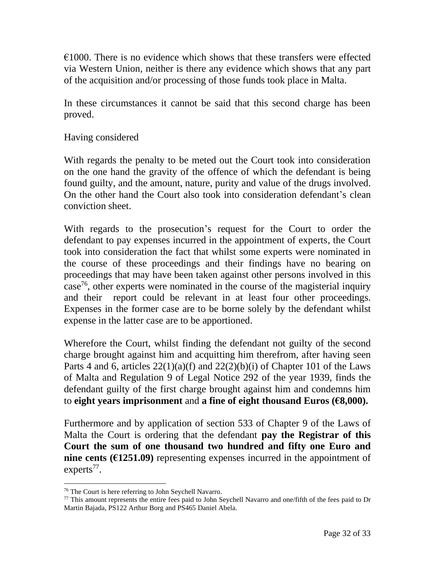$\epsilon$ 1000. There is no evidence which shows that these transfers were effected via Western Union, neither is there any evidence which shows that any part of the acquisition and/or processing of those funds took place in Malta.

In these circumstances it cannot be said that this second charge has been proved.

#### Having considered

With regards the penalty to be meted out the Court took into consideration on the one hand the gravity of the offence of which the defendant is being found guilty, and the amount, nature, purity and value of the drugs involved. On the other hand the Court also took into consideration defendant's clean conviction sheet.

With regards to the prosecution's request for the Court to order the defendant to pay expenses incurred in the appointment of experts, the Court took into consideration the fact that whilst some experts were nominated in the course of these proceedings and their findings have no bearing on proceedings that may have been taken against other persons involved in this case<sup>76</sup>, other experts were nominated in the course of the magisterial inquiry and their report could be relevant in at least four other proceedings. Expenses in the former case are to be borne solely by the defendant whilst expense in the latter case are to be apportioned.

Wherefore the Court, whilst finding the defendant not guilty of the second charge brought against him and acquitting him therefrom, after having seen Parts 4 and 6, articles  $22(1)(a)(f)$  and  $22(2)(b)(i)$  of Chapter 101 of the Laws of Malta and Regulation 9 of Legal Notice 292 of the year 1939, finds the defendant guilty of the first charge brought against him and condemns him to **eight years imprisonment** and **a fine of eight thousand Euros (€8,000).**

Furthermore and by application of section 533 of Chapter 9 of the Laws of Malta the Court is ordering that the defendant **pay the Registrar of this Court the sum of one thousand two hundred and fifty one Euro and nine cents (** $\epsilon$ **1251.09)** representing expenses incurred in the appointment of experts<sup>77</sup>.

<sup>76</sup> The Court is here referring to John Seychell Navarro.

<sup>&</sup>lt;sup>77</sup> This amount represents the entire fees paid to John Seychell Navarro and one/fifth of the fees paid to Dr Martin Bajada, PS122 Arthur Borg and PS465 Daniel Abela.